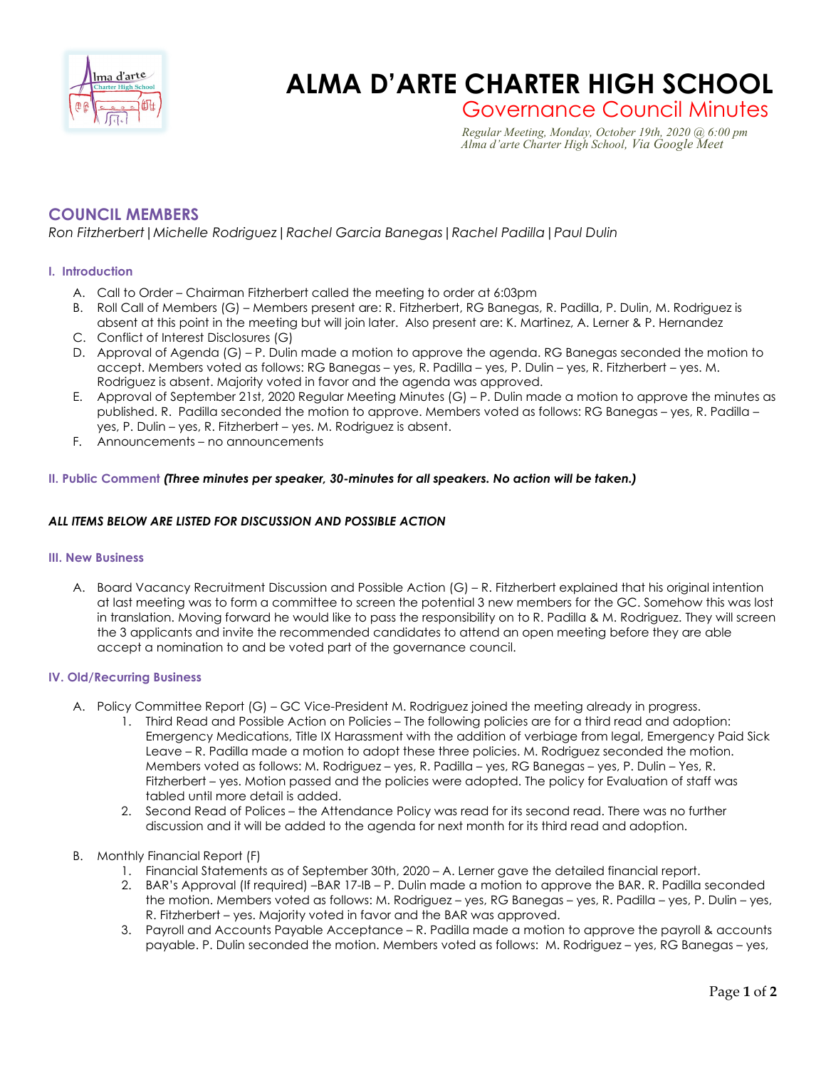

# **ALMA D'ARTE CHARTER HIGH SCHOOL**

Governance Council Minutes *Regular Meeting, Monday, October 19th, 2020 @ 6:00 pm*

 *Alma d'arte Charter High School, Via Google Meet*

# **COUNCIL MEMBERS**

*Ron Fitzherbert|Michelle Rodriguez|Rachel Garcia Banegas|Rachel Padilla|Paul Dulin*

## **I. Introduction**

- A. Call to Order Chairman Fitzherbert called the meeting to order at 6:03pm
- B. Roll Call of Members (G) Members present are: R. Fitzherbert, RG Banegas, R. Padilla, P. Dulin, M. Rodriguez is absent at this point in the meeting but will join later. Also present are: K. Martinez, A. Lerner & P. Hernandez
- C. Conflict of Interest Disclosures (G)
- D. Approval of Agenda (G) P. Dulin made a motion to approve the agenda. RG Banegas seconded the motion to accept. Members voted as follows: RG Banegas – yes, R. Padilla – yes, P. Dulin – yes, R. Fitzherbert – yes. M. Rodriguez is absent. Majority voted in favor and the agenda was approved.
- E. Approval of September 21st, 2020 Regular Meeting Minutes (G) P. Dulin made a motion to approve the minutes as published. R. Padilla seconded the motion to approve. Members voted as follows: RG Banegas – yes, R. Padilla – yes, P. Dulin – yes, R. Fitzherbert – yes. M. Rodriguez is absent.
- F. Announcements no announcements

### **II. Public Comment** *(Three minutes per speaker, 30-minutes for all speakers. No action will be taken.)*

### *ALL ITEMS BELOW ARE LISTED FOR DISCUSSION AND POSSIBLE ACTION*

#### **III. New Business**

A. Board Vacancy Recruitment Discussion and Possible Action (G) – R. Fitzherbert explained that his original intention at last meeting was to form a committee to screen the potential 3 new members for the GC. Somehow this was lost in translation. Moving forward he would like to pass the responsibility on to R. Padilla & M. Rodriguez. They will screen the 3 applicants and invite the recommended candidates to attend an open meeting before they are able accept a nomination to and be voted part of the governance council.

### **IV. Old/Recurring Business**

- A. Policy Committee Report (G) GC Vice-President M. Rodriguez joined the meeting already in progress.
	- 1. Third Read and Possible Action on Policies The following policies are for a third read and adoption: Emergency Medications, Title IX Harassment with the addition of verbiage from legal, Emergency Paid Sick Leave – R. Padilla made a motion to adopt these three policies. M. Rodriguez seconded the motion. Members voted as follows: M. Rodriguez – yes, R. Padilla – yes, RG Banegas – yes, P. Dulin – Yes, R. Fitzherbert – yes. Motion passed and the policies were adopted. The policy for Evaluation of staff was tabled until more detail is added.
	- 2. Second Read of Polices the Attendance Policy was read for its second read. There was no further discussion and it will be added to the agenda for next month for its third read and adoption.
- B. Monthly Financial Report (F)
	- 1. Financial Statements as of September 30th, 2020 A. Lerner gave the detailed financial report.
	- 2. BAR's Approval (If required) –BAR 17-IB P. Dulin made a motion to approve the BAR. R. Padilla seconded the motion. Members voted as follows: M. Rodriguez – yes, RG Banegas – yes, R. Padilla – yes, P. Dulin – yes, R. Fitzherbert – yes. Majority voted in favor and the BAR was approved.
	- 3. Payroll and Accounts Payable Acceptance R. Padilla made a motion to approve the payroll & accounts payable. P. Dulin seconded the motion. Members voted as follows: M. Rodriguez – yes, RG Banegas – yes,